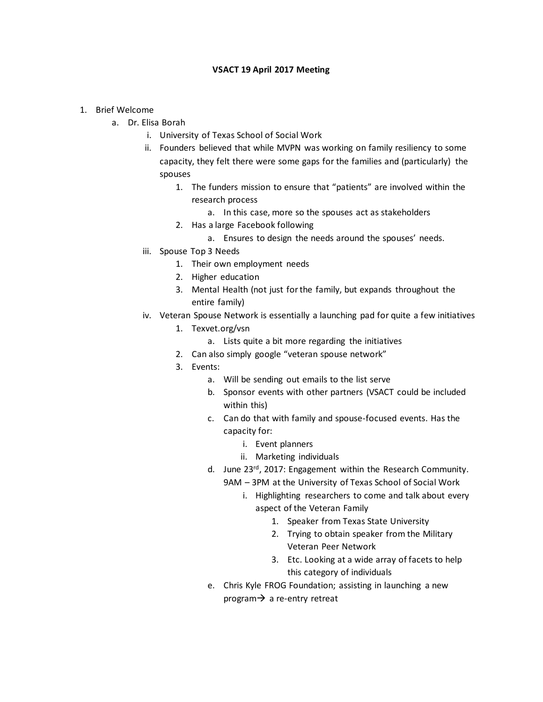## **VSACT 19 April 2017 Meeting**

## 1. Brief Welcome

- a. Dr. Elisa Borah
	- i. University of Texas School of Social Work
	- ii. Founders believed that while MVPN was working on family resiliency to some capacity, they felt there were some gaps for the families and (particularly) the spouses
		- 1. The funders mission to ensure that "patients" are involved within the research process
			- a. In this case, more so the spouses act as stakeholders
		- 2. Has a large Facebook following
			- a. Ensures to design the needs around the spouses' needs.
	- iii. Spouse Top 3 Needs
		- 1. Their own employment needs
		- 2. Higher education
		- 3. Mental Health (not just for the family, but expands throughout the entire family)
	- iv. Veteran Spouse Network is essentially a launching pad for quite a few initiatives
		- 1. Texvet.org/vsn
			- a. Lists quite a bit more regarding the initiatives
		- 2. Can also simply google "veteran spouse network"
		- 3. Events:
			- a. Will be sending out emails to the list serve
			- b. Sponsor events with other partners (VSACT could be included within this)
			- c. Can do that with family and spouse-focused events. Has the capacity for:
				- i. Event planners
				- ii. Marketing individuals
			- d. June 23rd, 2017: Engagement within the Research Community. 9AM – 3PM at the University of Texas School of Social Work
				- i. Highlighting researchers to come and talk about every aspect of the Veteran Family
					- 1. Speaker from Texas State University
					- 2. Trying to obtain speaker from the Military Veteran Peer Network
					- 3. Etc. Looking at a wide array of facets to help this category of individuals
			- e. Chris Kyle FROG Foundation; assisting in launching a new program $\rightarrow$  a re-entry retreat